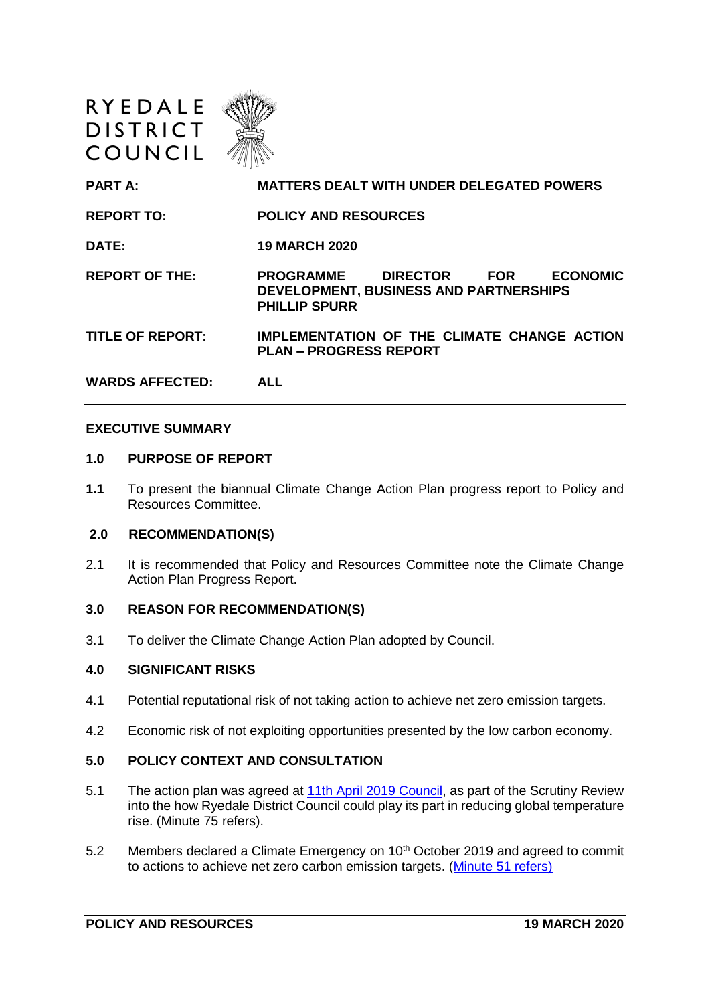| <b>DISTRICT</b><br>COUNCIL |                                                                                                                                        |
|----------------------------|----------------------------------------------------------------------------------------------------------------------------------------|
| <b>PART A:</b>             | <b>MATTERS DEALT WITH UNDER DELEGATED POWERS</b>                                                                                       |
| <b>REPORT TO:</b>          | <b>POLICY AND RESOURCES</b>                                                                                                            |
| DATE:                      | <b>19 MARCH 2020</b>                                                                                                                   |
| <b>REPORT OF THE:</b>      | <b>DIRECTOR</b><br><b>ECONOMIC</b><br><b>PROGRAMME</b><br><b>FOR</b><br>DEVELOPMENT, BUSINESS AND PARTNERSHIPS<br><b>PHILLIP SPURR</b> |
| <b>TITLE OF REPORT:</b>    | IMPLEMENTATION OF THE CLIMATE CHANGE ACTION<br><b>PLAN – PROGRESS REPORT</b>                                                           |
| <b>WARDS AFFECTED:</b>     | <b>ALL</b>                                                                                                                             |

### **EXECUTIVE SUMMARY**

#### **1.0 PURPOSE OF REPORT**

RYEDALE <//

**1.1** To present the biannual Climate Change Action Plan progress report to Policy and Resources Committee.

## **2.0 RECOMMENDATION(S)**

2.1 It is recommended that Policy and Resources Committee note the Climate Change Action Plan Progress Report.

### **3.0 REASON FOR RECOMMENDATION(S)**

3.1 To deliver the Climate Change Action Plan adopted by Council.

#### **4.0 SIGNIFICANT RISKS**

- 4.1 Potential reputational risk of not taking action to achieve net zero emission targets.
- 4.2 Economic risk of not exploiting opportunities presented by the low carbon economy.

#### **5.0 POLICY CONTEXT AND CONSULTATION**

- 5.1 The action plan was agreed at **11th April 2019 Council**, as part of the Scrutiny Review into the how Ryedale District Council could play its part in reducing global temperature rise. (Minute 75 refers).
- 5.2 Members declared a Climate Emergency on 10<sup>th</sup> October 2019 and agreed to commit to actions to achieve net zero carbon emission targets. [\(Minute 51 refers\)](https://democracy.ryedale.gov.uk/ieListDocuments.aspx?CId=114&MId=3019&Ver=4)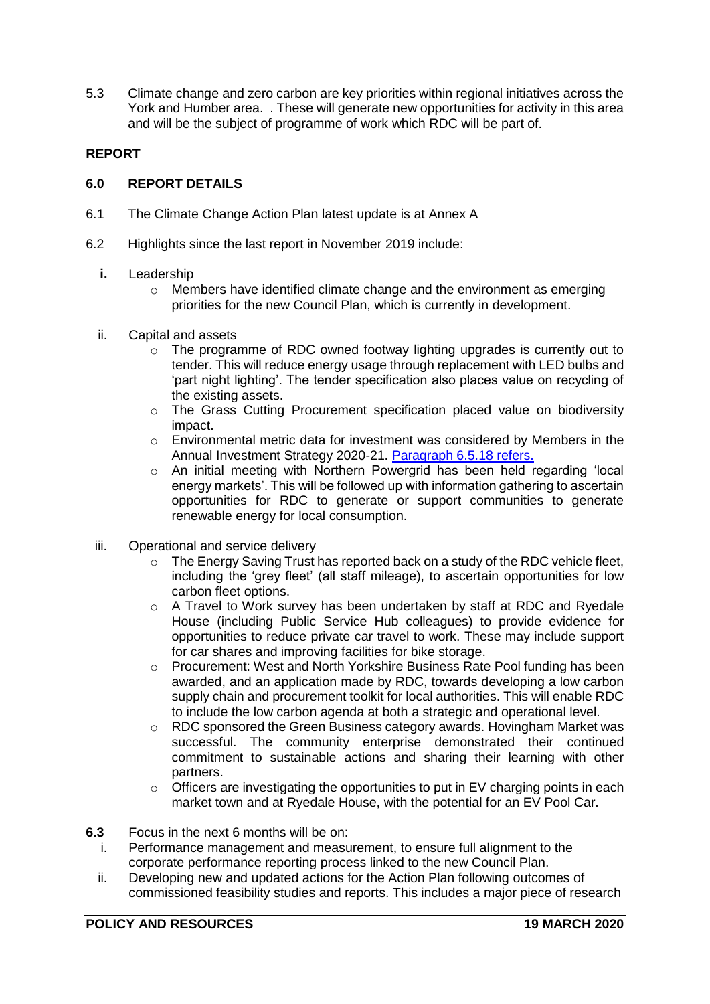5.3 Climate change and zero carbon are key priorities within regional initiatives across the York and Humber area. . These will generate new opportunities for activity in this area and will be the subject of programme of work which RDC will be part of.

# **REPORT**

## **6.0 REPORT DETAILS**

- 6.1 The Climate Change Action Plan latest update is at Annex A
- 6.2 Highlights since the last report in November 2019 include:
	- **i.** Leadership
		- o Members have identified climate change and the environment as emerging priorities for the new Council Plan, which is currently in development.
	- ii. Capital and assets
		- o The programme of RDC owned footway lighting upgrades is currently out to tender. This will reduce energy usage through replacement with LED bulbs and 'part night lighting'. The tender specification also places value on recycling of the existing assets.
		- o The Grass Cutting Procurement specification placed value on biodiversity impact.
		- o Environmental metric data for investment was considered by Members in the Annual Investment Strategy 2020-21. [Paragraph 6.5.18 refers.](https://democracy.ryedale.gov.uk/documents/s48306/Treasury%20Management%20Statement%20and%20Investment%20Strategy%202020-21%20Report%20PR.._.pdf)
		- o An initial meeting with Northern Powergrid has been held regarding 'local energy markets'. This will be followed up with information gathering to ascertain opportunities for RDC to generate or support communities to generate renewable energy for local consumption.
	- iii. Operational and service delivery
		- o The Energy Saving Trust has reported back on a study of the RDC vehicle fleet, including the 'grey fleet' (all staff mileage), to ascertain opportunities for low carbon fleet options.
		- o A Travel to Work survey has been undertaken by staff at RDC and Ryedale House (including Public Service Hub colleagues) to provide evidence for opportunities to reduce private car travel to work. These may include support for car shares and improving facilities for bike storage.
		- o Procurement: West and North Yorkshire Business Rate Pool funding has been awarded, and an application made by RDC, towards developing a low carbon supply chain and procurement toolkit for local authorities. This will enable RDC to include the low carbon agenda at both a strategic and operational level.
		- $\circ$  RDC sponsored the Green Business category awards. Hovingham Market was successful. The community enterprise demonstrated their continued commitment to sustainable actions and sharing their learning with other partners.
		- o Officers are investigating the opportunities to put in EV charging points in each market town and at Ryedale House, with the potential for an EV Pool Car.
- **6.3** Focus in the next 6 months will be on:
	- i. Performance management and measurement, to ensure full alignment to the corporate performance reporting process linked to the new Council Plan.
	- ii. Developing new and updated actions for the Action Plan following outcomes of commissioned feasibility studies and reports. This includes a major piece of research